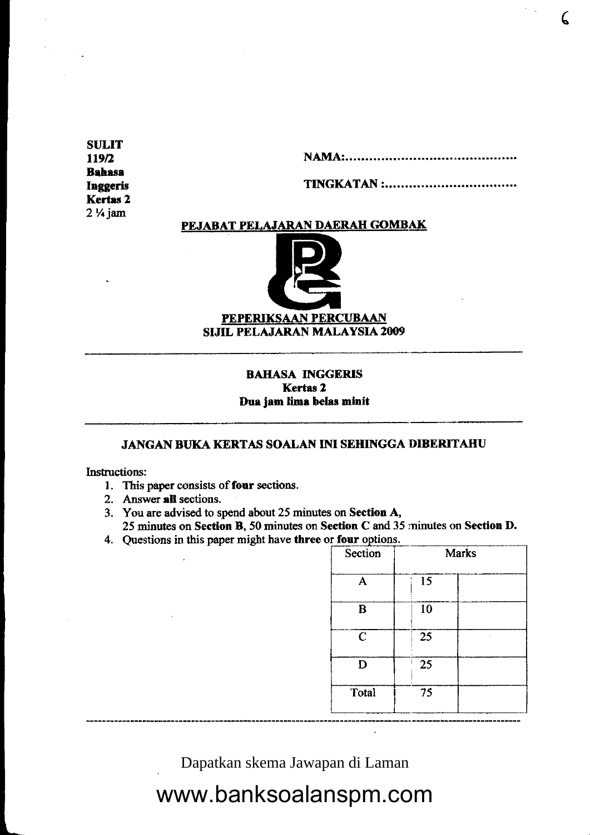**SULIT** 119/2 **Bahasa Inggeris Kertas 2**  $2\frac{1}{4}$  jam

**TINGKATAN :............................** 

### PEJABAT PELAJARAN DAERAH GOMBAK



### **BAHASA INGGERIS Kertas 2** Dua jam lima belas minit

### JANGAN BUKA KERTAS SOALAN INI SEHINGGA DIBERITAHU

**Instructions:** 

- 1. This paper consists of four sections.
- 2. Answer all sections.
- 3. You are advised to spend about 25 minutes on Section A,

25 minutes on Section B, 50 minutes on Section C and 35 minutes on Section D. 4. Questions in this paper might have three or four options.

| Section     |    | <b>Marks</b> |
|-------------|----|--------------|
| A           | 15 |              |
| B           | 10 |              |
| $\mathbf C$ | 25 |              |
| D           | 25 |              |
| Total       | 75 |              |

Dapatkan skema Jawapan di Laman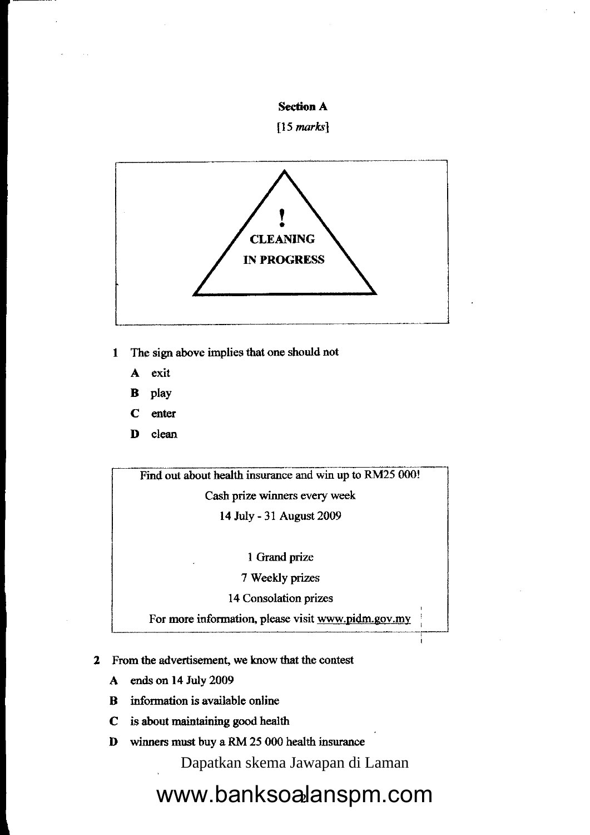

 $[15$  marks]



I The sign above implies that one should not

- A exit
- B play
- C enter
- D clean

Find out about health insurance and win up to RM25 000!

Cash prize winners wery week

14 July - 31 August 2009

I Grand prize

7 Weekly prizes

14 Consolation prizes

For more information, please visit www.pidm.gov.my

- 2 From the advertisement, we tnow that the contest
	- A ends on 14 July 2009
	- B information is available online
	- C is about maintaining good health
	- D winners must buy a RM 25 000 health insurance

Dapatkan skema Jawapan di Laman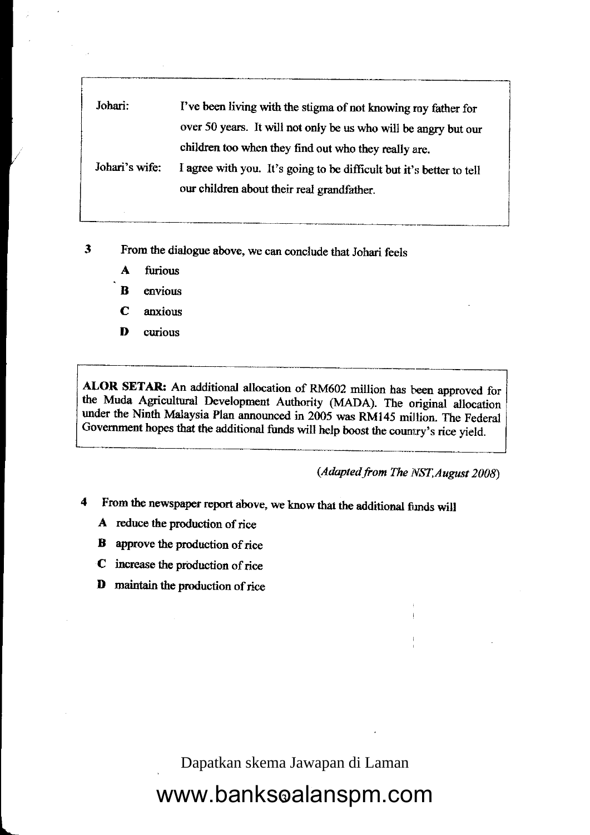| Johari:        | I've been living with the stigma of not knowing ray father for       |  |
|----------------|----------------------------------------------------------------------|--|
|                | over 50 years. It will not only be us who will be angry but our      |  |
|                | children too when they find out who they really are.                 |  |
| Johari's wife: | I agree with you. It's going to be difficult but it's better to tell |  |
|                | our children about their real grandfather.                           |  |

- $\overline{\mathbf{3}}$ From the dialogue above, we can conclude that Johari feels
	- A firrious
	- B envious
	- C anxious
	- D curious

ALOR SETAR: An additional allocation of RM602 million has been approved for the Muda A minitanal David the Muda Agricultural Development Authority (MADA). The original allocation under the Ninth Malaysia Plan announced in 2005 was RM145 million. The Federal Government hopes that the additional funds will help boost the counrry's rice yield.

(Adapted from The NST, August 2008)

- 4 From the newspaper report above, we know that the additional fimds will
	- A reduce the production of rice
	- **B** approve the production of rice
	- $C$  increase the production of rice
	- D maintain the production of rice

 $\overline{a}$ 

Dapatkan skema Jawapan di Laman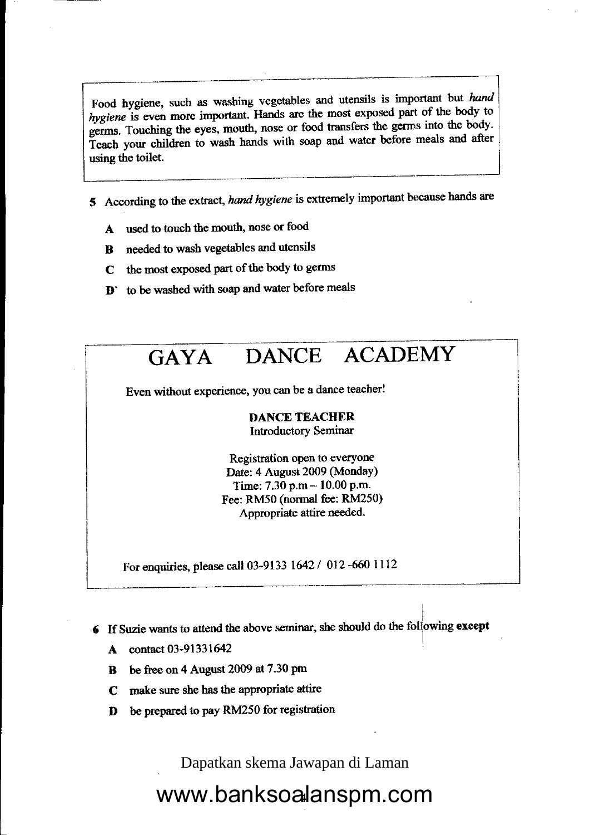Food hygiene, such as washing vegetables and utensils is important but hand hygiene is even more important. Hands are the most exposed part of the body to germs. Touching the eyes, mouth, nose or food transfers the germs into the body. Teach your children to wash hands with soap and water before meals and after using the toilet.

- 5 According to the extract, hand hygiene is extremely important because hands are
	- A used to touch the mouth, nose or food
	- needed to wash vegetables and utensils  $\mathbf{B}$
	- the most exposed part of the body to germs  $\mathbf C$
	- **D**' to be washed with soap and water before meals



- 6 If Suzie wants to attend the above seminar, she should do the following except
	- contact 03-91331642 A
	- be free on 4 August 2009 at 7.30 pm B
	- make sure she has the appropriate attire  $\mathbf C$
	- be prepared to pay RM250 for registration D

Dapatkan skema Jawapan di Laman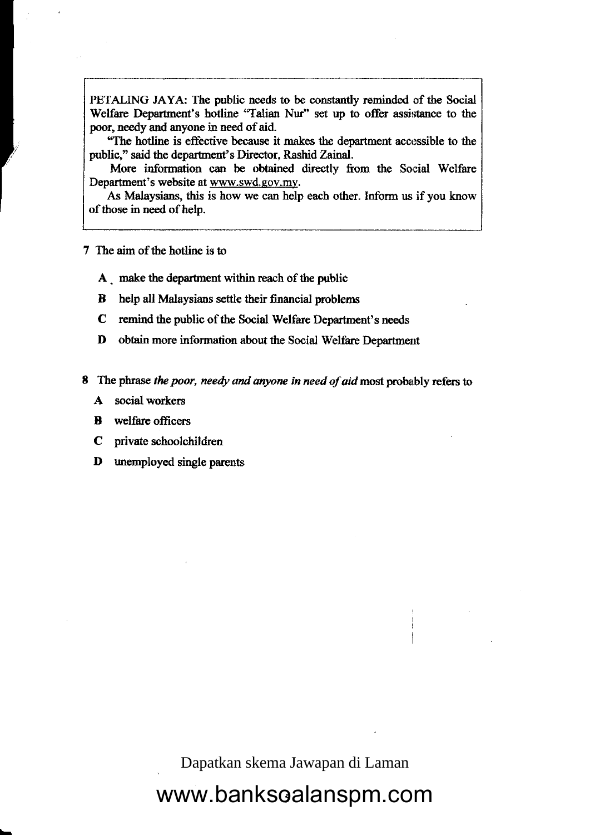PETALING JAYA: The public needs to be constantly reminded of the Social Welfare Departrnent's hotline "Talian Nur" set up to offer assistance to the poor, needy and anyone in need of aid.

"The hotline is effective because it makes the department accessible to the public," said the departmert's Director, Rashid Zainal.

More information can be obtained directly from the Social Welfare Department's website at www.swd.gov.my.

As Malaysians, this is how we can help each other. Inform us if you know of those in need of help.

7 The airn of the hotline is to

**Industry of Property** 

 $\overline{\phantom{0}}$ 

- A make the department within reach of the public
- B help all Malaysians settle their financial problems
- C remind the public of the Social Welfare Department's needs
- D obtain more information about the Social Welfare Department
- 8 The phrase the poor, needy and anyone in need of aid most probably refers to
	- A social workers
	- **B** welfare officers
	- C private schoolchildren
	- D unemployed single parcnts

Dapatkan skema Jawapan di Laman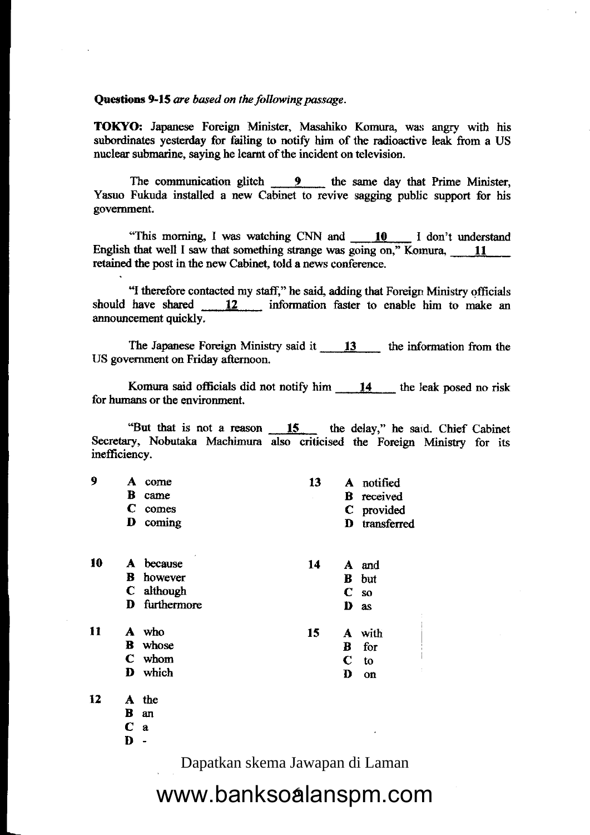### Questions 9-15 are based on the following passage.

TOKYO: Japanese Foreign Minister, Masahiko Komura, was angry with his subordinates yesterday for failing to notify him of the radioactive leak from a US nuclear submarine, saying he learnt of the incident on television.

The communication glitch  $\frac{9}{2}$  the same day that Prime Minister, Yasuo Fukuda installed a new Cabinet to revive sagging public support for bis govemment.

"This morning, I was watching CNN and 10 I don't understand English that well I saw that something strange was going on," Komura,  $\frac{11}{\sqrt{11}}$ retained the post in the new Cabinet, told a news conference.

<sup>44</sup>I therefore contacted my staff," he said, adding that Foreign Ministry officials should have shared  $\frac{12}{12}$  information faster to enable him to make an announcement quickly.

The Japanese Foreign Ministry said it 13 the information from the US govemment on Friday afternoon.

Komura said officials did not notify him  $14$  the leak posed no risk for humans or the environment.

"But that is not a reason  $\qquad \qquad 15$  the delay," he said. Chief Cabinet Secretary, Nobutaka Machimura also criticised the Foreign Ministry for its inefficiency.

| ą |   | A come          | 13 | A notified        |
|---|---|-----------------|----|-------------------|
|   | R | came            |    | <b>B</b> received |
|   |   | comes           |    | C provided        |
|   |   | <b>D</b> coming |    | D transferred     |
|   |   |                 |    |                   |

| 10 | A | $\epsilon$<br>because | 14 |             | A and        |
|----|---|-----------------------|----|-------------|--------------|
|    |   | <b>B</b> however      |    |             | <b>B</b> but |
|    |   | C although            |    |             | $C$ so       |
|    |   | D furthermore         |    | D           | as           |
| 11 | А | who                   | 15 |             | A with       |
|    | В | whose                 |    | в           | for          |
|    |   | C whom                |    | $\mathbf C$ | to           |
|    | Ð | which                 |    | D           | on           |

12 the A

an B

a C

 $\mathbf{D}$  -

Dapatkan skema Jawapan di Laman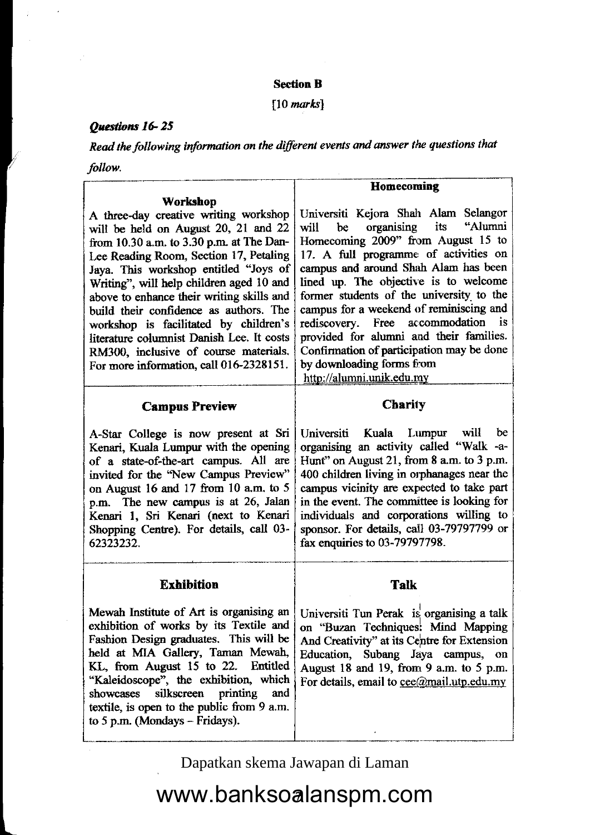### **Section B**

 $[10$  marks]

### Questions 16-25

L

Read the following information on the different events and answer the questions that follow.

|                                                                                                                                                                                                                                                                                                                                                                                                                                                                                                                           | Homecoming                                                                                                                                                                                                                                                                                                                                                                                                                                                                                                                           |
|---------------------------------------------------------------------------------------------------------------------------------------------------------------------------------------------------------------------------------------------------------------------------------------------------------------------------------------------------------------------------------------------------------------------------------------------------------------------------------------------------------------------------|--------------------------------------------------------------------------------------------------------------------------------------------------------------------------------------------------------------------------------------------------------------------------------------------------------------------------------------------------------------------------------------------------------------------------------------------------------------------------------------------------------------------------------------|
| Workshop                                                                                                                                                                                                                                                                                                                                                                                                                                                                                                                  |                                                                                                                                                                                                                                                                                                                                                                                                                                                                                                                                      |
| A three-day creative writing workshop<br>will be held on August 20, 21 and 22<br>from 10.30 a.m. to 3.30 p.m. at The Dan-<br>Lee Reading Room, Section 17, Petaling<br>Jaya. This workshop entitled "Joys of<br>Writing", will help children aged 10 and<br>above to enhance their writing skills and<br>build their confidence as authors. The<br>workshop is facilitated by children's<br>literature columnist Danish Lee. It costs<br>RM300, inclusive of course materials.<br>For more information, call 016-2328151. | Universiti Kejora Shah Alam Selangor<br>its<br>"Alumni<br>organising<br>be<br>will<br>Homecoming 2009" from August 15 to<br>17. A full programme of activities on<br>campus and around Shah Alam has been<br>lined up. The objective is to welcome<br>former students of the university to the<br>campus for a weekend of reminiscing and<br>rediscovery. Free accommodation<br>is<br>provided for alumni and their families.<br>Confirmation of participation may be done<br>by downloading forms from<br>http://alumni.unik.edu.my |
| <b>Campus Preview</b>                                                                                                                                                                                                                                                                                                                                                                                                                                                                                                     | <b>Charity</b>                                                                                                                                                                                                                                                                                                                                                                                                                                                                                                                       |
| A-Star College is now present at Sri<br>Kenari, Kuala Lumpur with the opening<br>of a state-of-the-art campus. All are<br>invited for the "New Campus Preview"<br>on August 16 and 17 from 10 a.m. to 5<br>p.m. The new campus is at 26, Jalan<br>Kenari 1, Sri Kenari (next to Kenari<br>Shopping Centre). For details, call 03-<br>62323232.                                                                                                                                                                            | Universiti Kuala<br>Lumpur will<br>be<br>organising an activity called "Walk -a-<br>Hunt" on August 21, from 8 a.m. to 3 p.m.<br>400 children living in orphanages near the<br>campus vicinity are expected to take part<br>in the event. The committee is looking for<br>individuals and corporations willing to<br>sponsor. For details, call 03-79797799 or<br>fax enquiries to 03-79797798.                                                                                                                                      |
| <b>Exhibition</b>                                                                                                                                                                                                                                                                                                                                                                                                                                                                                                         | <b>Talk</b>                                                                                                                                                                                                                                                                                                                                                                                                                                                                                                                          |
| Mewah Institute of Art is organising an<br>exhibition of works by its Textile and<br>Fashion Design graduates. This will be<br>held at MIA Gallery, Taman Mewah,<br>KL, from August 15 to 22. Entitled<br>"Kaleidoscope", the exhibition, which<br>printing<br>silkscreen<br>and<br>showcases<br>textile, is open to the public from 9 a.m.<br>to 5 p.m. (Mondays $-$ Fridays).                                                                                                                                           | Universiti Tun Perak is organising a talk<br>on "Buzan Techniques: Mind Mapping<br>And Creativity" at its Centre for Extension<br>Education, Subang Jaya campus,<br>$\alpha$<br>August 18 and 19, from 9 a.m. to 5 p.m.<br>For details, email to $\text{cee}(a)$ mail.utp.edu, my                                                                                                                                                                                                                                                    |

Dapatkan skema Jawapan di Laman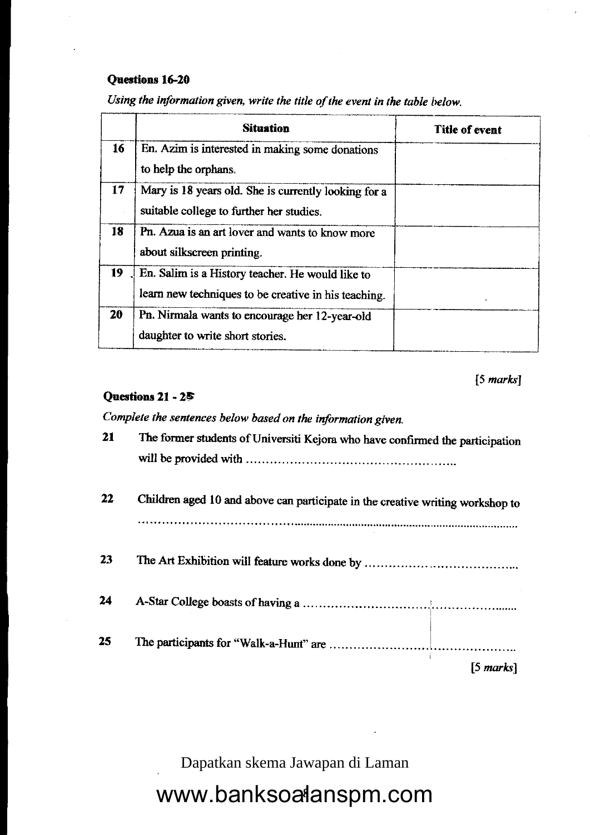### Questions 16-20

|                 | <b>Situation</b>                                                                                         | <b>Title of event</b> |
|-----------------|----------------------------------------------------------------------------------------------------------|-----------------------|
| 16 <sup>1</sup> | En. Azim is interested in making some donations<br>to help the orphans.                                  |                       |
| 17              | Mary is 18 years old. She is currently looking for a<br>suitable college to further her studies.         |                       |
| 18              | Pn. Azua is an art lover and wants to know more<br>about silkscreen printing.                            |                       |
| 19              | En. Salim is a History teacher. He would like to<br>learn new techniques to be creative in his teaching. |                       |
| 20              | Pn. Nirmala wants to encourage her 12-year-old<br>daughter to write short stories.                       |                       |

Using the information given, write the title of the event in the table below.

### $[5$  marks]

### Questions 21 - 25

Complete the sentences below based on the information given.

| 21 | The former students of Universiti Kejora who have confirmed the participation  |
|----|--------------------------------------------------------------------------------|
| 22 | Children aged 10 and above can participate in the creative writing workshop to |
| 23 |                                                                                |
| 24 |                                                                                |
| 25 |                                                                                |
|    | [5 marks]                                                                      |

Dapatkan skema Jawapan di Laman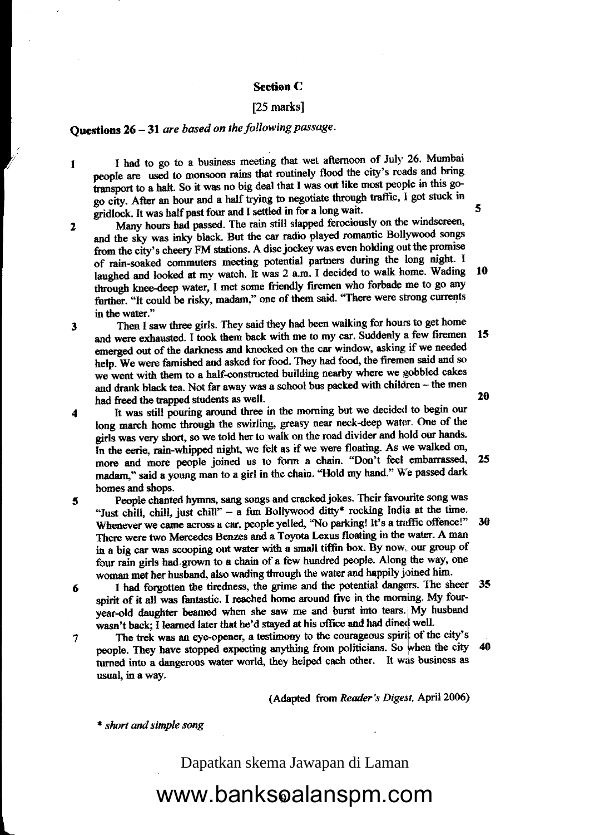#### Section C

### [25 marks]

### Questions  $26 - 31$  are based on the following passage.

I I had to go to a business meeting that wet afternoon of July 26. Mumbai people are used to monsoon rains that routinely flood the city's rcads and bring transport to a halt. So it was no big deal that I was out like most people in this gogo city. After an hour and a half trying to negotiate through traffic, I got stuck in gridlock. It was half past four and I settled in for a long wait.

l0 2 Many hours had passed. The rain still slapped ferociously on the windscreen, and the sky was inky black. But the car radio played romantic Bollywood songs from the city's cheery FM stations. A disc jockey was even holding out the promise of rain-soaked commuters meeting potential partners during the long night. I laughed and looked at my watch. It was 2 a.m. I decided to walk home. Wading through knee-deep water, I met some friendly firemen who forbade me to go any further. "It could be risky, madam," one of them said. "There were strong currents in the water."

3 Then I saw three girls. They said they had been walking for hours to get home and were exhausted. I took them back with me to my car. Suddenly a few firemen emerged out of the darkness and knocked on the car window, asking if we needed help. We were famished and asked for food. They had food, the firemen said and so we went with them to a half-constructed building nearby where we gobbled cakes and drank black tea. Not far away was a school bus packed with children - the men had freed the trapped students as well. 15 20

- 4 It was still pouring around three in the morning but we decided to begin our long march home through the swirling, greasy near neck-deep water. One of the girls was very short, so we told her to walk on the road divider and hold our hands. In the eerie, rain-whipped night, we felt as if we were floating. As we walked on, more and more people joined us to form a chain. "Don't feel embarrassed, madarn," said a young man to a girl in the chain. "Hold my hand." We passed dark homes and shops. 25
- 5 People chanted hymns, sang songs and cracked jokes. Their favourite song was "Just chill, chill, just chill" - a fun Bollywood ditty\* rocking India at the time. Whenever we came across a car, people yelled, "No parking! It's a traffic offence!" There were two Mercedes Benzes and a Toyota Lexus floating in the water. A man in a big car was scooping out water with a small tiffin box. By now, our group of four rain girls had grown to a chain of a few hundred people. Along the way, one woman met her husband, also wading through the water and happily joined him. 30
- 6 I had forgotten the tiredness, the grime and the potential dangers. The sheer spirit of it all-was fantastic. I reached home around five in the morning. My fourspirit of it an was rantastic. I reached notice around the in the tears. My husband wasn't back; I learned later that he'd stayed at his office and had dined well.
- 7 The trek was an eye-opener, a testimony to the courageous spirit of the city's people. They have stopped expecting anything from politicians. So when the city turned into a dangerous water world, they helped each other. It was business as usual, in a way. 40

(Adapted from Reader's Digest, April 2006)

\* short and simple song

 $\overline{a}$ 

Dapatkan skema Jawapan di Laman

www.banksoalanspm.com

5

35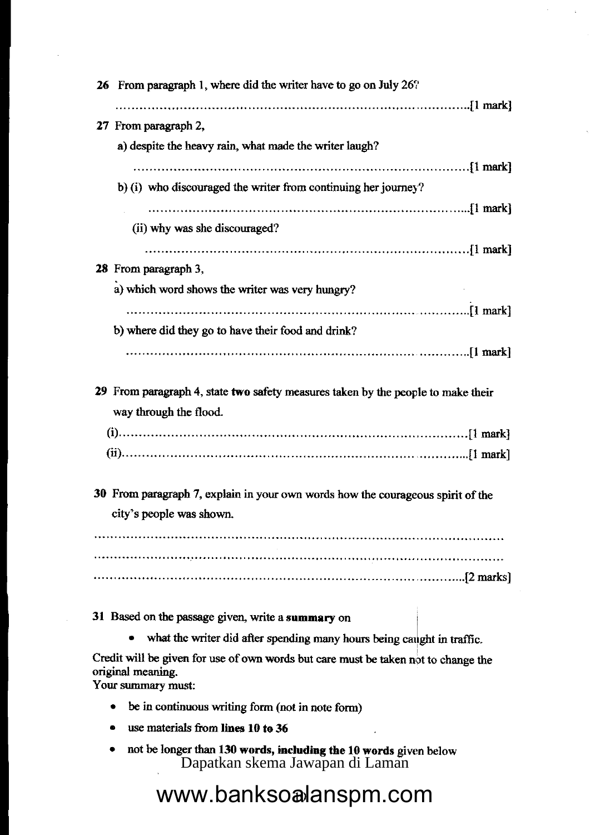| 26 | From paragraph 1, where did the writer have to go on July $26$ ?                   |
|----|------------------------------------------------------------------------------------|
|    |                                                                                    |
|    | 27 From paragraph 2,                                                               |
|    | a) despite the heavy rain, what made the writer laugh?                             |
|    |                                                                                    |
|    | b) (i) who discouraged the writer from continuing her journey?                     |
|    |                                                                                    |
|    | (ii) why was she discouraged?                                                      |
|    |                                                                                    |
|    | 28 From paragraph 3,                                                               |
|    | a) which word shows the writer was very hungry?                                    |
|    |                                                                                    |
|    | b) where did they go to have their food and drink?                                 |
|    |                                                                                    |
|    |                                                                                    |
|    | 29 From paragraph 4, state two safety measures taken by the people to make their   |
|    | way through the flood.                                                             |
|    |                                                                                    |
|    |                                                                                    |
|    |                                                                                    |
|    | 30 From paragraph 7, explain in your own words how the courageous spirit of the    |
|    | city's people was shown.                                                           |
|    |                                                                                    |
|    |                                                                                    |
|    |                                                                                    |
|    |                                                                                    |
|    | 31 Based on the passage given, write a summary on                                  |
|    | what the writer did after spending many hours being caught in traffic.             |
|    | Credit will be given for use of own words but care must be taken not to change the |
|    | original meaning.                                                                  |
|    | Your summary must:                                                                 |
|    | be in continuous writing form (not in note form)                                   |

- use materials from lines 10 to 36
- not be longer than 130 words, including the 10 words given below Dapatkan skema Jawapan di Laman

# Dapatkan skema Jawapan di Laman<br>WWW.banksoalanspm.com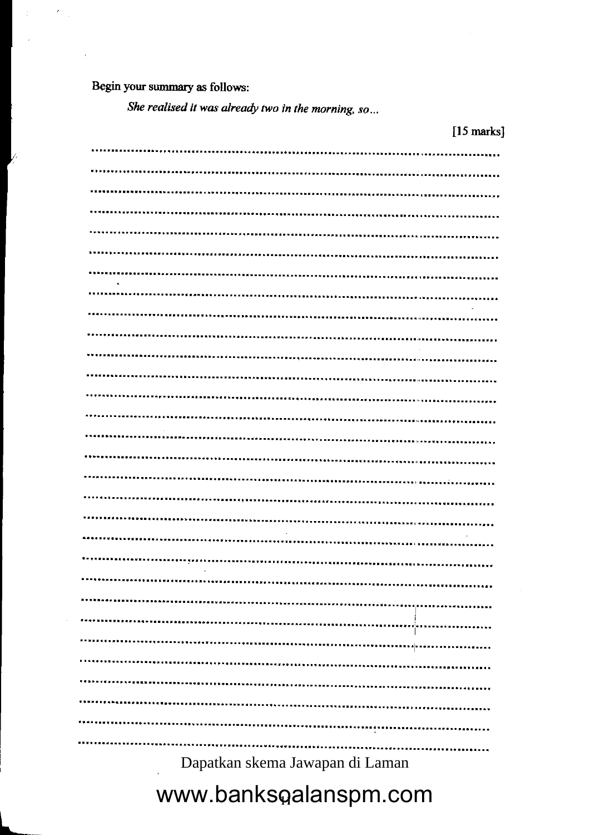Begin your summary as follows:

],

She realised it was already two in the morning, so...

|                                      | [15 marks]      |
|--------------------------------------|-----------------|
|                                      |                 |
|                                      |                 |
|                                      |                 |
|                                      |                 |
|                                      |                 |
|                                      |                 |
|                                      |                 |
|                                      |                 |
|                                      |                 |
|                                      |                 |
|                                      |                 |
| ,,,,,,,,,,,,,,,,,,,,,,,,,,,,,,,,,,,, |                 |
|                                      |                 |
| -------------------------------      |                 |
|                                      |                 |
|                                      |                 |
| *****************************        |                 |
|                                      |                 |
|                                      |                 |
|                                      |                 |
|                                      |                 |
|                                      |                 |
|                                      |                 |
|                                      | *************   |
|                                      | ,,,,,,,,,,,,,,, |
|                                      |                 |
|                                      |                 |
|                                      |                 |
|                                      |                 |
|                                      |                 |

Dapatkan skema Jawapan di Laman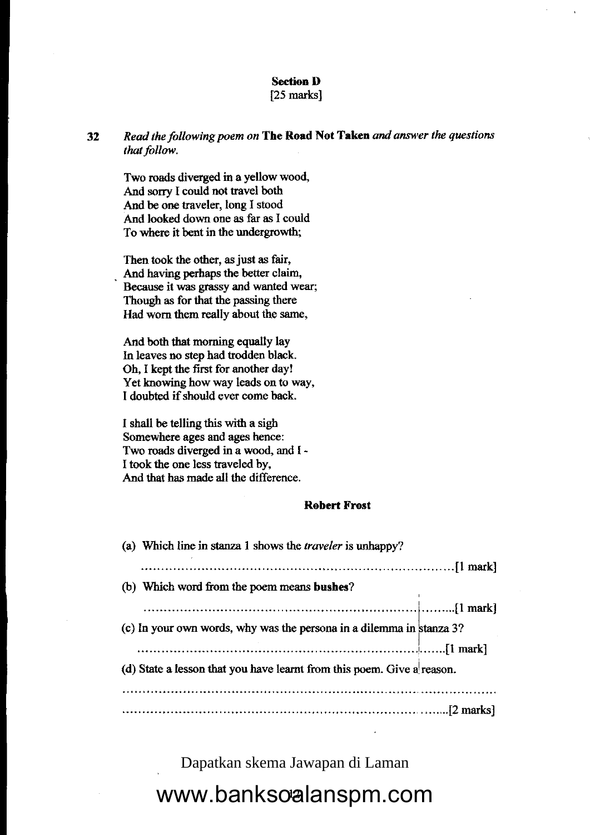### Section D

### [25 marks]

32 Read the following poem on The Road Not Taken and answer the questions that follow.

Two roads diverged in a yellow wood, And sorry I could not travel both And be one traveler, long I stood And looked down one as far as I could To where it bent in the undergrowth;

Then took the other, as just as fair, And having perhaps the better claim. Because it was grassy and wanted wear; Though as for that the passing there Had worn them really about the same,

And both that morning equally lay ln leaves no step had trodden black Oh, I kept the first for another day! Yet knowing how way leads on to way, I doubted if should ever come back.

I shall be telling this with a sigh Somewhere ages and ages hence: Two roads diverged in a wood, and I - I took the one less traveled by, And that has made all the difference.

### Robert Frost

| (a) Which line in stanza 1 shows the <i>traveler</i> is unhappy?       |  |
|------------------------------------------------------------------------|--|
|                                                                        |  |
| (b) Which word from the poem means bushes?                             |  |
|                                                                        |  |
| (c) In your own words, why was the persona in a dilemma in stanza 3?   |  |
|                                                                        |  |
| (d) State a lesson that you have learnt from this poem. Give a reason. |  |
|                                                                        |  |
|                                                                        |  |

Dapatkan skema Jawapan di Laman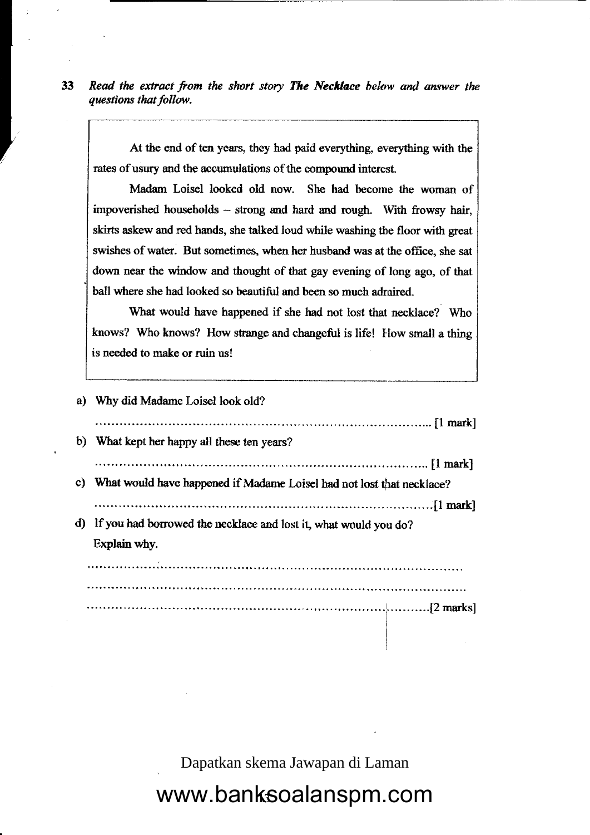33 Read the extract from the short story The Necklace below and answer the questians that follow.

**Independent Contract on Contract Contract Contract Contract Contract Contract Contract Contract Contract Contract Contract Contract Contract Contract Contract Contract Contract Contract Contract Contract Contract Contract** 

At the end of ten years, they had paid werything everything with the rates of usury and the accumulations of the compound interest.

Madam Loisel looked old now. She had become the woman of impoverished households - strong and hard and rough. With frowsy hair, skirts askew and red hands, she talked loud while washing tbe floor with great swishes of water. But sometimes, when her husband was at the office, she sat down near the window and thought of that gay evening of long ago, of that ball where she had looked so beautiful and been so much admired.

What would have happened if she had not lost that necklace? Who knows? Who knows? How strange and changeful is life! How small a thing is needed to make or ruin us!

| a)           | Why did Madame Loisel look old?                                       |
|--------------|-----------------------------------------------------------------------|
|              |                                                                       |
| $\mathbf{b}$ | What kept her happy all these ten years?                              |
|              |                                                                       |
| C)           | What would have happened if Madame Loisel had not lost that necklace? |
|              |                                                                       |
| d)           | If you had borrowed the necklace and lost it, what would you do?      |
|              | Explain why.                                                          |
|              |                                                                       |
|              |                                                                       |
|              |                                                                       |
|              |                                                                       |
|              |                                                                       |

Dapatkan skema Jawapan di Laman

I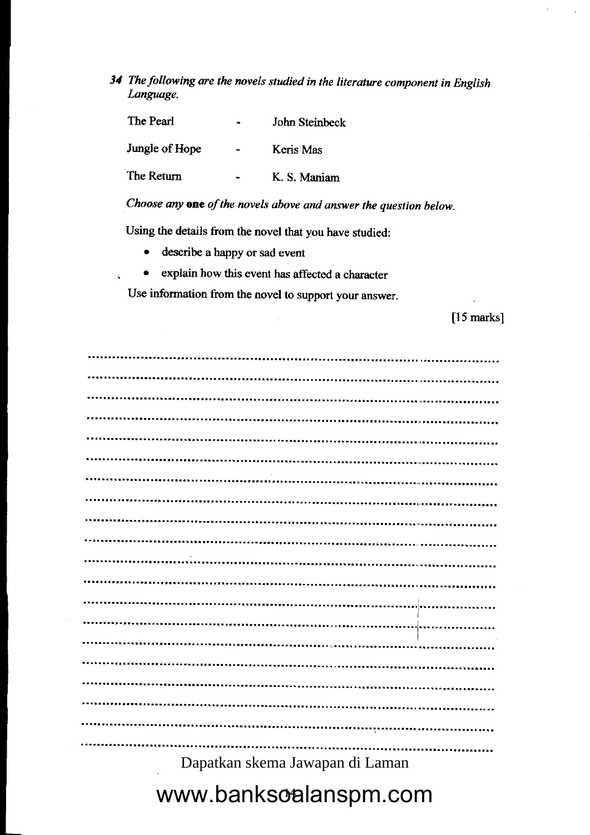34 The following are the novels studied in the literature component in English Language.

The Pearl John Steinbeck

Jungle of Hope Keris Mas

The Retum - K, S. Maniam

Choose any one of the novels above and answer the question below.

Using the details from the novel that you have studied:

• describe a happy or sad event

.

• explain how this event has affected a character

Use information from the novel to support your answer.

[15 marks]

| -------------<br>     |
|-----------------------|
|                       |
| --------------------- |

Dapatkan skema Jawapan di Laman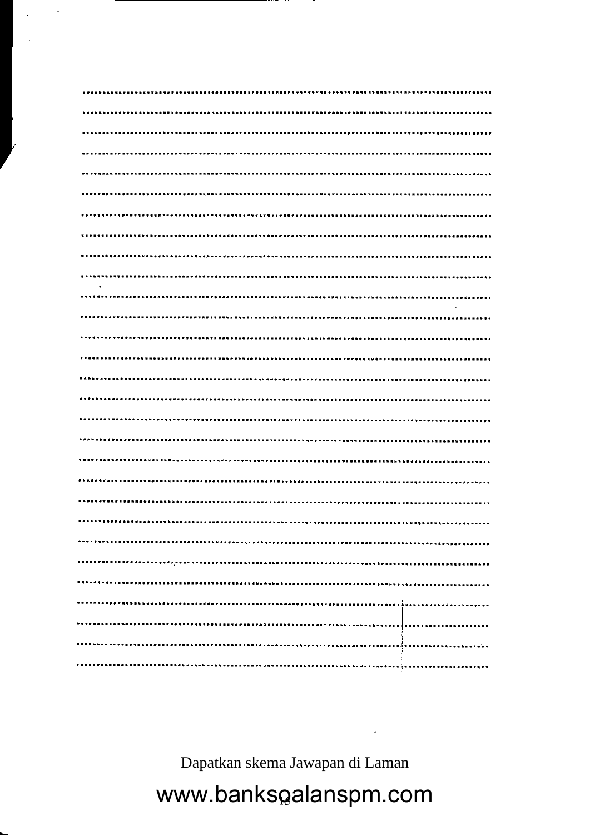Dapatkan skema Jawapan di Laman